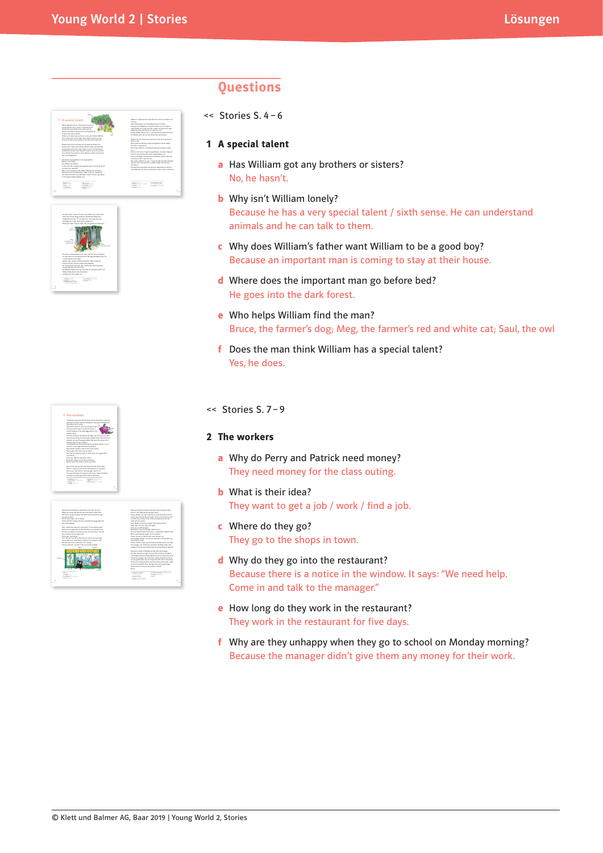



# "I'm sorry, children," the teacher, Mr Page, says. "This year we can't Perry says, "We can work after school." **9** enough *genug* **13** angry *böse, wütend*

| <b>WITH FORD MAIL</b>                                                                                                               | a product to the state of the                                                                                                                                                                                                                                                                                                                                                                                                          |
|-------------------------------------------------------------------------------------------------------------------------------------|----------------------------------------------------------------------------------------------------------------------------------------------------------------------------------------------------------------------------------------------------------------------------------------------------------------------------------------------------------------------------------------------------------------------------------------|
| <b>CALLEN</b>                                                                                                                       | as an installation and company company and company                                                                                                                                                                                                                                                                                                                                                                                     |
| <b>AMER</b>                                                                                                                         | an also be structure.                                                                                                                                                                                                                                                                                                                                                                                                                  |
| <b>CARD COM</b>                                                                                                                     | <b>CALIFORNIA CONTINUES.</b>                                                                                                                                                                                                                                                                                                                                                                                                           |
| a britant locker                                                                                                                    | Library's office                                                                                                                                                                                                                                                                                                                                                                                                                       |
| a business of attraction                                                                                                            | <b>Sand Fre</b>                                                                                                                                                                                                                                                                                                                                                                                                                        |
| a. Milita Minutese                                                                                                                  | determinate has they                                                                                                                                                                                                                                                                                                                                                                                                                   |
| ----                                                                                                                                | standing lancials him. Inciding white last of summer expectation, in her<br>hands. The manager says to the class. "Because Patrick and Perry."<br>are core would wallers you can all an in the fair Here is the morey.<br>for your class outline and horn are some summarized a start called. I hope<br>you have a non-decisi time." Due alum, the mores to Mr Page.<br>Patrick lastin at Perry and Perry lastin at Patrick.<br>Boxes! |
|                                                                                                                                     | They are to subsed an Manday mandag. They are unhanced<br>. But their teacher, Mr Page, is undirer The resignment manager is                                                                                                                                                                                                                                                                                                           |
| "Come on Paintob" says Perry "Bin can and the manuscen"                                                                             | the manager says. Thank you well done. Conduct Have a nice                                                                                                                                                                                                                                                                                                                                                                             |
| -                                                                                                                                   | weekend." But she dampfliates them any money. What can they do?                                                                                                                                                                                                                                                                                                                                                                        |
| We need help. Come in and help in the manager."                                                                                     | Patrick and Perry work very hard every day after school. On Priday                                                                                                                                                                                                                                                                                                                                                                     |
| "Perry look" says Patrick.                                                                                                          | "Please, say we les? Be can start now," the loos say.                                                                                                                                                                                                                                                                                                                                                                                  |
| "Yes, I can see," sees Perry. "But we can't ask her, she hann't esti-                                                               | The manager devides. "Yes, You can each here until half east for-                                                                                                                                                                                                                                                                                                                                                                      |
| time to talk to us, Look. Owner's a matter in the window. It same:                                                                  | a rowy day this week."                                                                                                                                                                                                                                                                                                                                                                                                                 |
| and a red have and she looks tired.                                                                                                 | "Nell, I reset help. We're got a lot of contempt."                                                                                                                                                                                                                                                                                                                                                                                     |
| sales and ony wood cars of tea. They look in the scinios. There                                                                     | . Measurement' ages, the resenance "Measurement"                                                                                                                                                                                                                                                                                                                                                                                       |
| a granitely of conference, last them can undersee one matters. The has-                                                             | Perry and Patrick lask at each other in "Menneson" associational"                                                                                                                                                                                                                                                                                                                                                                      |
| they size backline.<br>After a while they such med a revisaged. It will summy years:                                                | Perry sensity to find the manager can't understand him.<br>"Sea visa," she says. "Sea start again."<br>Perry says, executive apply.                                                                                                                                                                                                                                                                                                    |
| . The but they're got a lot of money."                                                                                              | a we need some money for our school outing longuage our class.                                                                                                                                                                                                                                                                                                                                                                         |
| Patrick and Perry Security them there remember the stares bank and                                                                  | hand's got goo money."                                                                                                                                                                                                                                                                                                                                                                                                                 |
| don't have any toles for lone, and I don't think the lands has get                                                                  | "Please, Markets not must a lob. Bit can need hard. Bit can serve                                                                                                                                                                                                                                                                                                                                                                      |
| are inkn for long."                                                                                                                 | owers callers and tea. His are careful, I shield not can help you and                                                                                                                                                                                                                                                                                                                                                                  |
| When they are subside the show Paintsb says. "During Indone,<br>٠<br>Where can no assistant We can't as to the author station. Only | They an inside. They knock an the door of the manager's office.<br>"Corne in You" Blue do you has know specif"                                                                                                                                                                                                                                                                                                                         |

# **Questions**

<< Stories S. 4 – 6

## **1 A special talent**

- **a** Has William got any brothers or sisters? No, he hasn't.
- **b** Why isn't William lonely? Because he has a very special talent / sixth sense. He can understand animals and he can talk to them.
- **c** Why does William's father want William to be a good boy? Because an important man is coming to stay at their house.
- **d** Where does the important man go before bed? He goes into the dark forest.
- **e** Who helps William find the man? Bruce, the farmer's dog; Meg, the farmer's red and white cat; Saul, the owl
- **f** Does the man think William has a special talent? Yes, he does.

#### << Stories S. 7 – 9

#### **2 The workers**

- **a** Why do Perry and Patrick need money? They need money for the class outing.
- **b** What is their idea? They want to get a job / work / find a job.
- **c** Where do they go? They go to the shops in town.
- **d** Why do they go into the restaurant? Because there is a notice in the window. It says: "We need help. Come in and talk to the manager."
- **e** How long do they work in the restaurant? They work in the restaurant for five days.
- **f** Why are they unhappy when they go to school on Monday morning? Because the manager didn't give them any money for their work.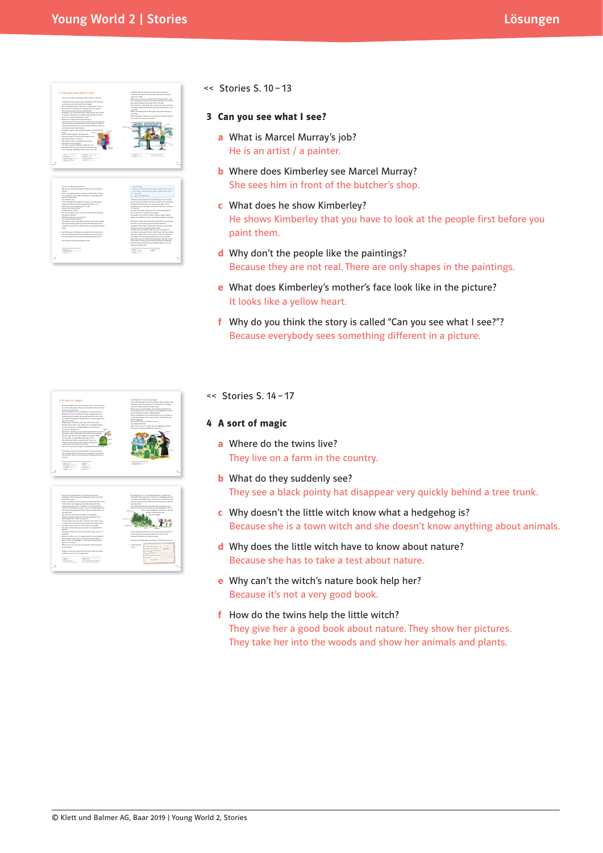

#### << Stories S. 10 – 13

- **3 Can you see what I see?**
	- **a** What is Marcel Murray's job? He is an artist / a painter.
	- **b** Where does Kimberley see Marcel Murray? She sees him in front of the butcher's shop.
	- **c** What does he show Kimberley? He shows Kimberley that you have to look at the people first before you paint them.
	- **d** Why don't the people like the paintings? Because they are not real. There are only shapes in the paintings.
	- **e** What does Kimberley's mother's face look like in the picture? It looks like a yellow heart.
	- **f** Why do you think the story is called "Can you see what I see?"? Because everybody sees something different in a picture.



| * The formula which," Make Impact, "I which known what a<br>he deshaw is. Those things aren't hedeshops, they're said. That's<br>the about he cashes."<br>Market and Malcolm start to laugh and the little witch starts/o on.<br>. The thin book it says had polyphones are articled things, and charge<br>things are solate Oh, this is so difficult. On a topic satisfy My<br>name in Canning longage my hair is so red it's nearly aurain. And I<br>death beam anything about animals. I brang a lot about towns. De-<br>you mand a basi?<br>The matters has 'stand and a last assumers in the auction.<br>Malesley and Harlon lank at the last. New they know she's a<br>mitch. Halesin asks. "Mu are use here."<br>"I'm here because I have to take a witch test. I'm at witch school. | * The " Highwise says, "His root a massive levels lest it's a level full of<br>wanderful driven, Louis June is a wisture of a horizonous and have<br>has a planning with his presence with the lands and contribution of the contribution of<br>The bras area to be an interest and the firms and at the analysis and the set of<br>1 You aloud them."<br>The children help the little which. They show her wickers, They<br>take has lots the sumply and shearber the woodwaters. They all<br>Dates to the summarized are. They look for sealersh.<br><b>NAMES</b><br>and they youll the ainst trees.<br>Carmina is harm.<br><b>Alta Source</b> |
|---------------------------------------------------------------------------------------------------------------------------------------------------------------------------------------------------------------------------------------------------------------------------------------------------------------------------------------------------------------------------------------------------------------------------------------------------------------------------------------------------------------------------------------------------------------------------------------------------------------------------------------------------------------------------------------------------------------------------------------------------------------------------------------------|--------------------------------------------------------------------------------------------------------------------------------------------------------------------------------------------------------------------------------------------------------------------------------------------------------------------------------------------------------------------------------------------------------------------------------------------------------------------------------------------------------------------------------------------------------------------------------------------------------------------------------------------------|
| in London, But in the witch test you have to letery about nature.<br>. Delcheed in almost nature, but I should think it's new around?<br>Une results her lausk and manny her mand. A very blacklash hird.<br>amoun.<br>"On around "Carminus says, "This time the book is right, Louis III's a<br><b>Marketing</b><br>Marion says. The Khreek His a Mark hird but Khryst a Markhird."                                                                                                                                                                                                                                                                                                                                                                                                        | At how without they all drink a num of tea and Carmino support her<br>wared on they can have summy calors to set with their tea.<br>Consider that had be been released to London.                                                                                                                                                                                                                                                                                                                                                                                                                                                                |
| The little winds is very grows Her Gore wars red. Use bodys at<br>Martins, "Don't say ally things, I can have use into a big-red buy."<br>Dan't you live senang."<br>Malesley says. The same you are provid. But mail have longager<br>was says balanced."                                                                                                                                                                                                                                                                                                                                                                                                                                                                                                                                  | Very source that shillden marel at a sunit and from London with a basis on it.<br><b></b><br>* On the purchased<br>and the half marks in<br>it sevs.<br>the sales led. Dall Ave.<br><b>CONTRACTOR</b>                                                                                                                                                                                                                                                                                                                                                                                                                                            |
| He wares letter that havens and committeed with a late nature leads.<br>Carmina auto him. To this a most issue?"<br>a be been a best also include which and<br>a financial con-<br>a marketing<br>a granulation<br>a bragantenant<br>a to her product into produce<br>dat Jacksond wheelist<br>a monte in excess a weekly                                                                                                                                                                                                                                                                                                                                                                                                                                                                   | what man I finds you<br>- welchi stay<br><b>Saders Dark and WTK</b><br>٠<br>promote<br>Low Carmine<br><b></b>                                                                                                                                                                                                                                                                                                                                                                                                                                                                                                                                    |

<< Stories S. 14 – 17

#### **4 A sort of magic**

- **a** Where do the twins live? They live on a farm in the country.
- **b** What do they suddenly see? They see a black pointy hat disappear very quickly behind a tree trunk.
- **c** Why doesn't the little witch know what a hedgehog is? Because she is a town witch and she doesn't know anything about animals.
- **d** Why does the little witch have to know about nature? Because she has to take a test about nature.
- **e** Why can't the witch's nature book help her? Because it's not a very good book.
- **f** How do the twins help the little witch? They give her a good book about nature. They show her pictures. They take her into the woods and show her animals and plants.